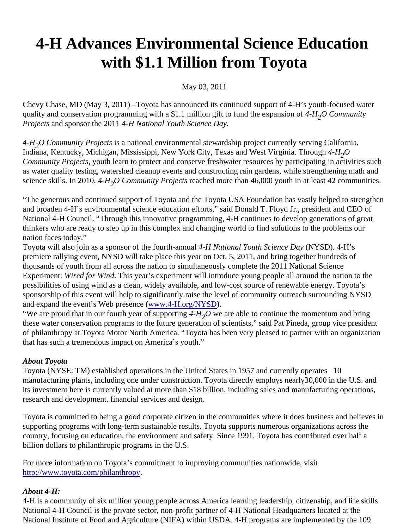## 4-H Advances Environmental Science Education with \$1.1 Million from Toyota

May 03, 2011

Chevy Chase, MD (May 3, 2011) –Toyota has announced its continued support of 4-H's youth-focused water quality and conservation programming with a \$1.1 million gift to fund the expansibilig DCommunity Projects and sponsor the 2014H National Youth Science Day.

4-H<sub>2</sub>O Community Projects a national environmental stewardship project currently serving California, Indiana, Kentucky, Michigan, Mississippi, New York City, Texas and West Virginia. Through O Community Projectsyouth learn to protect and conserve freshwater resources by participating in activities such as water quality testing, watershed cleanup events and constructing rain gardens, while strengthening math and science skills. In 2010,-H<sub>2</sub>O Community Projectœached more than 46,000 youth in at leasto42munities.

"The generous and continued support of Toyota and the Toyota USA Foundation has vastly helped to strengthen and broaden 4-H's environmental science education efforts," said Donald T. Floyd Jr., president and CEO of National 4-H Council. "Through this innovative programming, 4-H continues to develop generations of great thinkers who are ready to step up in this complex and changing world to find solutions to the problems our nation faces today."

Toyota will also join as a sponsor of the fourth-annual National Youth Science Daw YSD). 4-H's premiere rallying event, NYSD will take place this year on Oct. 5, 2011, and bring together hundreds of thousands of youth from all across the nation to simultaneously complete the 2011 National Science Experiment: Wired for Wind This year's experiment will introduce young people all around the nation to the possibilities of using wind as a clean, widely available, and low-cost source of renewable energy. Toyota's sponsorship of this event will help to significantly raise the level of community outreach surrounding NYSD and expand the event's Web presence ( .4-H.org/NYSD).

"We are proud that in our fourth year of supporthed  $_2$ O we are able to continue the momentum and bring these water conservation programs to the future generation of scientists," said Pat Pineda, group vice preside of philanthropy at Toyota Motor North America. "Toyota has been very pleased to partner with an organization that has such a tremendous impact on America's youth."

## About Toyota

Toyota (NYSE: TM) established operations in the United States in 1957 and currently optotates manufacturing plants, including one under construction. Toyota directly employs nearly30,000 in the U.S. and its investment here is currently valued at more than \$18 billion, including sales and manufacturing operations research and development, financial services and design.

Toyota is committed to being a good corporate citizen in the communities where it does business and believe supporting programs with long-term sustainable results. Toyota supports numerous organizations across the country, focusing on education, the environment and safety. Since 1991, Toyota has contributed over half a billion dollars to philanthropic programs in the U.S.

For more information on Toyota's commitment to improving communities nationwide, visit [http://www.toyota.com/philanthrop](http://www.toyota.com/philanthropy)y.

## About 4-H:

4-H is a community of six million young people across America learning leadership, citizenship, and life skills. National 4-H Council is the private sector, non-profit partner of 4-H National Headquarters located at the National Institute of Food and Agriculture (NIFA) within USDA. 4-H programs are implemented by the 109